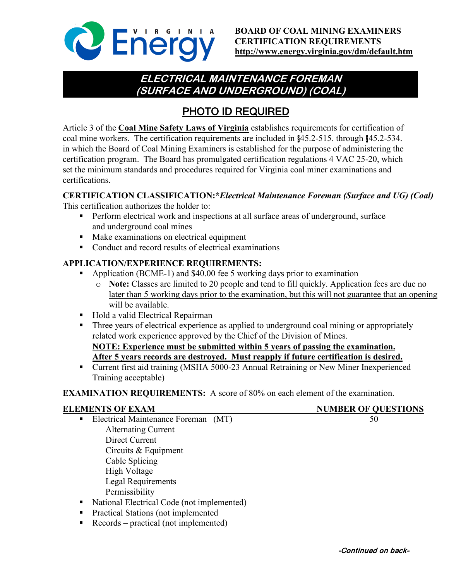

## **ELECTRICAL MAINTENANCE FOREMAN (SURFACE AND UNDERGROUND) (COAL)**

# PHOTO ID REQUIRED

Article 3 of the **Coal Mine Safety Laws of Virginia** establishes requirements for certification of coal mine workers. The certification requirements are included in §45.2-515. through §45.2-534. in which the Board of Coal Mining Examiners is established for the purpose of administering the certification program. The Board has promulgated certification regulations 4 VAC 25-20, which set the minimum standards and procedures required for Virginia coal miner examinations and certifications.

## **CERTIFICATION CLASSIFICATION:\****Electrical Maintenance Foreman (Surface and UG) (Coal)*

This certification authorizes the holder to:

- **Perform electrical work and inspections at all surface areas of underground, surface** and underground coal mines
- Make examinations on electrical equipment
- Conduct and record results of electrical examinations

### **APPLICATION/EXPERIENCE REQUIREMENTS:**

- Application (BCME-1) and \$40.00 fee 5 working days prior to examination
	- o **Note:** Classes are limited to 20 people and tend to fill quickly. Application fees are due no later than 5 working days prior to the examination, but this will not guarantee that an opening will be available.
- Hold a valid Electrical Repairman
- Three years of electrical experience as applied to underground coal mining or appropriately related work experience approved by the Chief of the Division of Mines.

**NOTE: Experience must be submitted within 5 years of passing the examination. After 5 years records are destroyed. Must reapply if future certification is desired.**

■ Current first aid training (MSHA 5000-23 Annual Retraining or New Miner Inexperienced Training acceptable)

**EXAMINATION REQUIREMENTS:** A score of 80% on each element of the examination.

- **ELEMENTS OF EXAM NUMBER OF QUESTIONS**
	- Electrical Maintenance Foreman (MT) 50 Alternating Current Direct Current Circuits & Equipment Cable Splicing High Voltage Legal Requirements Permissibility
	- National Electrical Code (not implemented)
	- **Practical Stations (not implemented**
	- Records practical (not implemented)